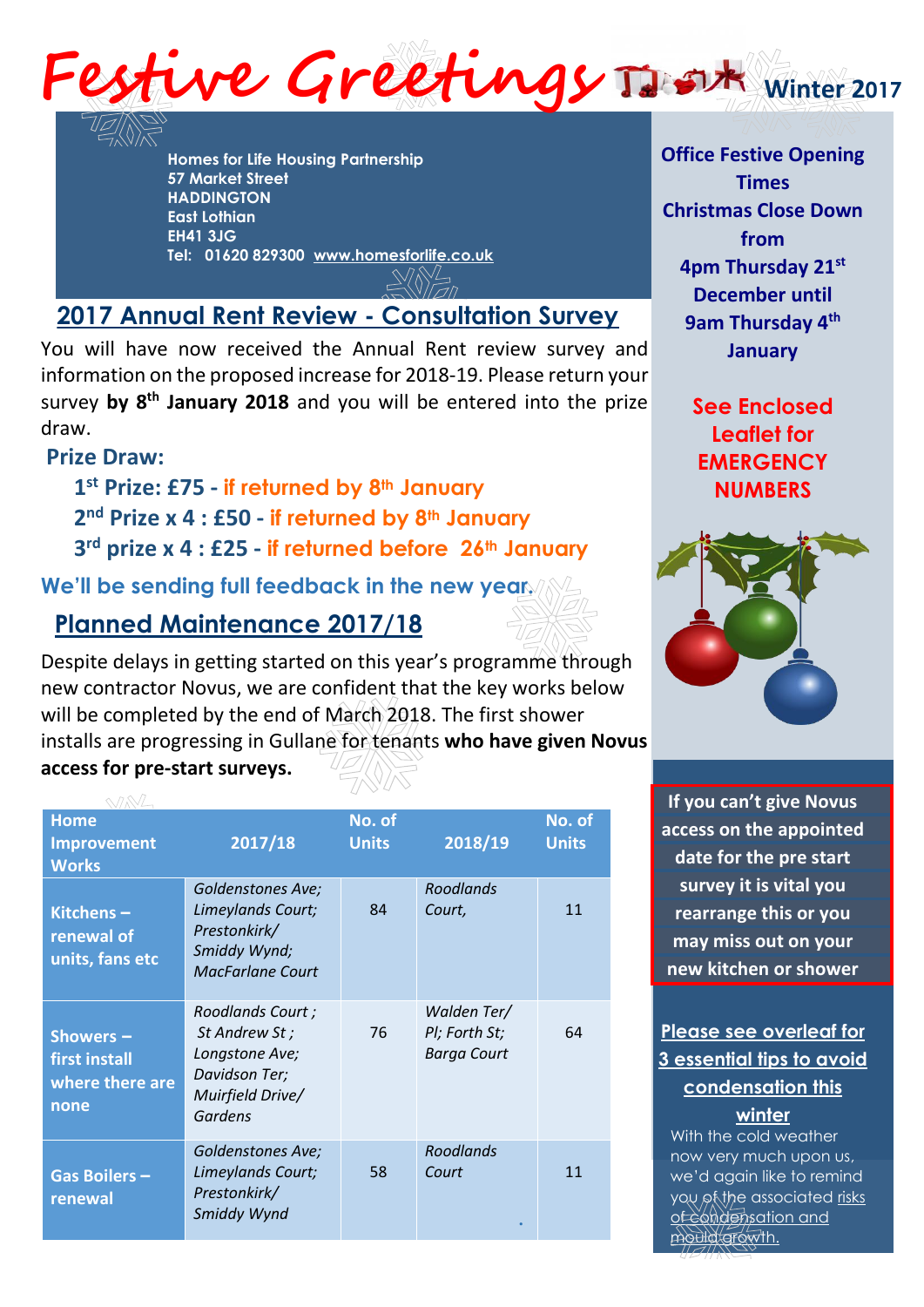

**Homes for Life Housing Partnership 57 Market Street HADDINGTON East Lothian EH41 3JG Tel: 01620 829300 [www.homesforlife.co.uk](http://www.homesforlife.co.uk/)**

# **2017 Annual Rent Review - Consultation Survey**

You will have now received the Annual Rent review survey and information on the proposed increase for 2018-19. Please return your survey **by 8 th January 2018** and you will be entered into the prize draw.

# **Prize Draw:**

**1 st Prize: £75 - if returned by 8th January 2 nd Prize x 4 : £50 - if returned by 8th January 3 rd prize x 4 : £25 - if returned before 26th January** 

**We'll be sending full feedback in the new year.**

# **Planned Maintenance 2017/18**

Despite delays in getting started on this year's programme through new contractor Novus, we are confident that the key works below will be completed by the end of March 2018. The first shower installs are progressing in Gullane for tenants **who have given Novus access for pre-start surveys.**

| <b>Home</b>                                           |                                                                                                          | No. of       |                                                    | No. of       |
|-------------------------------------------------------|----------------------------------------------------------------------------------------------------------|--------------|----------------------------------------------------|--------------|
| <b>Improvement</b>                                    | 2017/18                                                                                                  | <b>Units</b> | 2018/19                                            | <b>Units</b> |
| <b>Works</b>                                          |                                                                                                          |              |                                                    |              |
| Kitchens-<br>renewal of<br>units, fans etc            | <b>Goldenstones Ave;</b><br>Limeylands Court;<br>Prestonkirk/<br>Smiddy Wynd;<br><b>MacFarlane Court</b> | 84           | Roodlands<br>Court,                                | 11           |
| Showers -<br>first install<br>where there are<br>none | Roodlands Court;<br>St Andrew St;<br>Longstone Ave;<br>Davidson Ter;<br>Muirfield Drive/<br>Gardens      | 76           | Walden Ter/<br>Pl; Forth St;<br><b>Barga Court</b> | 64           |
| Gas Boilers-<br>renewal                               | Goldenstones Ave;<br>Limeylands Court;<br>Prestonkirk/<br>Smiddy Wynd                                    | 58           | <b>Roodlands</b><br>Court                          | 11           |

**Office Festive Opening Times Christmas Close Down from 4pm Thursday 21 st December until 9am Thursday 4 th January** 

> **See Enclosed Leaflet for EMERGENCY NUMBERS**



**If you can't give Novus access on the appointed date for the pre start survey it is vital you rearrange this or you may miss out on your new kitchen or shower**

## **Please see overleaf for 3 essential tips to avoid condensation this winter**

With the cold weather now very much upon us, we'd again like to remind you of the associated risks of condensation and mould growth.